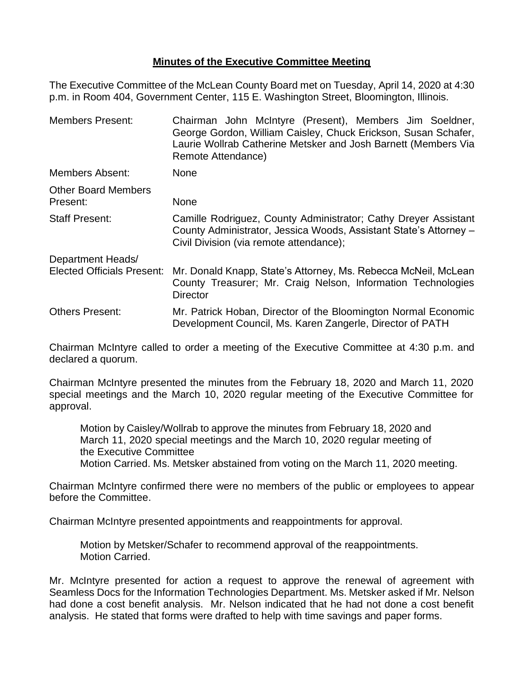## **Minutes of the Executive Committee Meeting**

The Executive Committee of the McLean County Board met on Tuesday, April 14, 2020 at 4:30 p.m. in Room 404, Government Center, 115 E. Washington Street, Bloomington, Illinois.

| <b>Members Present:</b>                | Chairman John McIntyre (Present), Members Jim Soeldner,<br>George Gordon, William Caisley, Chuck Erickson, Susan Schafer,<br>Laurie Wollrab Catherine Metsker and Josh Barnett (Members Via<br>Remote Attendance) |  |  |
|----------------------------------------|-------------------------------------------------------------------------------------------------------------------------------------------------------------------------------------------------------------------|--|--|
| <b>Members Absent:</b>                 | <b>None</b>                                                                                                                                                                                                       |  |  |
| <b>Other Board Members</b><br>Present: | None                                                                                                                                                                                                              |  |  |
| <b>Staff Present:</b>                  | Camille Rodriguez, County Administrator; Cathy Dreyer Assistant<br>County Administrator, Jessica Woods, Assistant State's Attorney -<br>Civil Division (via remote attendance);                                   |  |  |
| Department Heads/                      |                                                                                                                                                                                                                   |  |  |
| <b>Elected Officials Present:</b>      | Mr. Donald Knapp, State's Attorney, Ms. Rebecca McNeil, McLean<br>County Treasurer; Mr. Craig Nelson, Information Technologies<br>Director                                                                        |  |  |
| <b>Others Present:</b>                 | Mr. Patrick Hoban, Director of the Bloomington Normal Economic<br>Development Council, Ms. Karen Zangerle, Director of PATH                                                                                       |  |  |

Chairman McIntyre called to order a meeting of the Executive Committee at 4:30 p.m. and declared a quorum.

Chairman McIntyre presented the minutes from the February 18, 2020 and March 11, 2020 special meetings and the March 10, 2020 regular meeting of the Executive Committee for approval.

Motion by Caisley/Wollrab to approve the minutes from February 18, 2020 and March 11, 2020 special meetings and the March 10, 2020 regular meeting of the Executive Committee Motion Carried. Ms. Metsker abstained from voting on the March 11, 2020 meeting.

Chairman McIntyre confirmed there were no members of the public or employees to appear before the Committee.

Chairman McIntyre presented appointments and reappointments for approval.

Motion by Metsker/Schafer to recommend approval of the reappointments. Motion Carried.

Mr. McIntyre presented for action a request to approve the renewal of agreement with Seamless Docs for the Information Technologies Department. Ms. Metsker asked if Mr. Nelson had done a cost benefit analysis. Mr. Nelson indicated that he had not done a cost benefit analysis. He stated that forms were drafted to help with time savings and paper forms.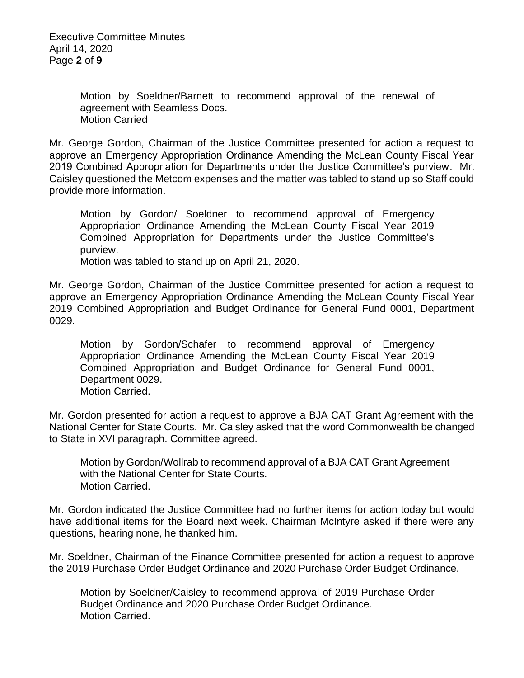Executive Committee Minutes April 14, 2020 Page **2** of **9**

> Motion by Soeldner/Barnett to recommend approval of the renewal of agreement with Seamless Docs. Motion Carried

Mr. George Gordon, Chairman of the Justice Committee presented for action a request to approve an Emergency Appropriation Ordinance Amending the McLean County Fiscal Year 2019 Combined Appropriation for Departments under the Justice Committee's purview. Mr. Caisley questioned the Metcom expenses and the matter was tabled to stand up so Staff could provide more information.

Motion by Gordon/ Soeldner to recommend approval of Emergency Appropriation Ordinance Amending the McLean County Fiscal Year 2019 Combined Appropriation for Departments under the Justice Committee's purview.

Motion was tabled to stand up on April 21, 2020.

Mr. George Gordon, Chairman of the Justice Committee presented for action a request to approve an Emergency Appropriation Ordinance Amending the McLean County Fiscal Year 2019 Combined Appropriation and Budget Ordinance for General Fund 0001, Department 0029.

Motion by Gordon/Schafer to recommend approval of Emergency Appropriation Ordinance Amending the McLean County Fiscal Year 2019 Combined Appropriation and Budget Ordinance for General Fund 0001, Department 0029. Motion Carried.

Mr. Gordon presented for action a request to approve a BJA CAT Grant Agreement with the National Center for State Courts. Mr. Caisley asked that the word Commonwealth be changed to State in XVI paragraph. Committee agreed.

Motion by Gordon/Wollrab to recommend approval of a BJA CAT Grant Agreement with the National Center for State Courts. Motion Carried.

Mr. Gordon indicated the Justice Committee had no further items for action today but would have additional items for the Board next week. Chairman McIntyre asked if there were any questions, hearing none, he thanked him.

Mr. Soeldner, Chairman of the Finance Committee presented for action a request to approve the 2019 Purchase Order Budget Ordinance and 2020 Purchase Order Budget Ordinance.

Motion by Soeldner/Caisley to recommend approval of 2019 Purchase Order Budget Ordinance and 2020 Purchase Order Budget Ordinance. Motion Carried.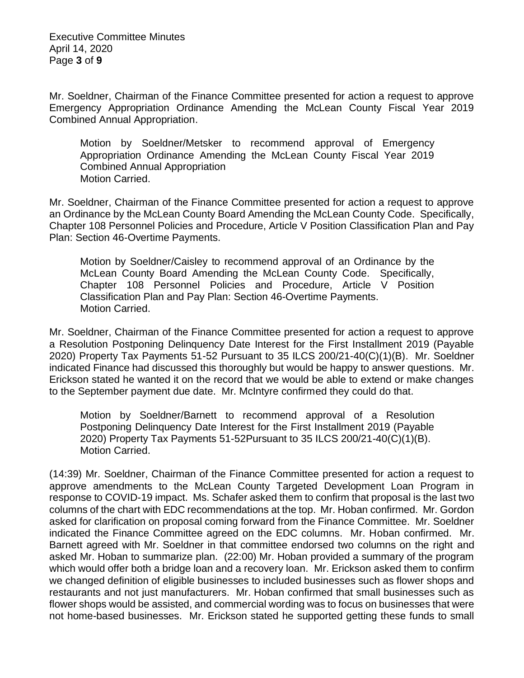Executive Committee Minutes April 14, 2020 Page **3** of **9**

Mr. Soeldner, Chairman of the Finance Committee presented for action a request to approve Emergency Appropriation Ordinance Amending the McLean County Fiscal Year 2019 Combined Annual Appropriation.

Motion by Soeldner/Metsker to recommend approval of Emergency Appropriation Ordinance Amending the McLean County Fiscal Year 2019 Combined Annual Appropriation Motion Carried.

Mr. Soeldner, Chairman of the Finance Committee presented for action a request to approve an Ordinance by the McLean County Board Amending the McLean County Code. Specifically, Chapter 108 Personnel Policies and Procedure, Article V Position Classification Plan and Pay Plan: Section 46-Overtime Payments.

Motion by Soeldner/Caisley to recommend approval of an Ordinance by the McLean County Board Amending the McLean County Code. Specifically, Chapter 108 Personnel Policies and Procedure, Article V Position Classification Plan and Pay Plan: Section 46-Overtime Payments. Motion Carried.

Mr. Soeldner, Chairman of the Finance Committee presented for action a request to approve a Resolution Postponing Delinquency Date Interest for the First Installment 2019 (Payable 2020) Property Tax Payments 51-52 Pursuant to 35 ILCS 200/21-40(C)(1)(B). Mr. Soeldner indicated Finance had discussed this thoroughly but would be happy to answer questions. Mr. Erickson stated he wanted it on the record that we would be able to extend or make changes to the September payment due date. Mr. McIntyre confirmed they could do that.

Motion by Soeldner/Barnett to recommend approval of a Resolution Postponing Delinquency Date Interest for the First Installment 2019 (Payable 2020) Property Tax Payments 51-52Pursuant to 35 ILCS 200/21-40(C)(1)(B). Motion Carried.

(14:39) Mr. Soeldner, Chairman of the Finance Committee presented for action a request to approve amendments to the McLean County Targeted Development Loan Program in response to COVID-19 impact. Ms. Schafer asked them to confirm that proposal is the last two columns of the chart with EDC recommendations at the top. Mr. Hoban confirmed. Mr. Gordon asked for clarification on proposal coming forward from the Finance Committee. Mr. Soeldner indicated the Finance Committee agreed on the EDC columns. Mr. Hoban confirmed. Mr. Barnett agreed with Mr. Soeldner in that committee endorsed two columns on the right and asked Mr. Hoban to summarize plan. (22:00) Mr. Hoban provided a summary of the program which would offer both a bridge loan and a recovery loan. Mr. Erickson asked them to confirm we changed definition of eligible businesses to included businesses such as flower shops and restaurants and not just manufacturers. Mr. Hoban confirmed that small businesses such as flower shops would be assisted, and commercial wording was to focus on businesses that were not home-based businesses. Mr. Erickson stated he supported getting these funds to small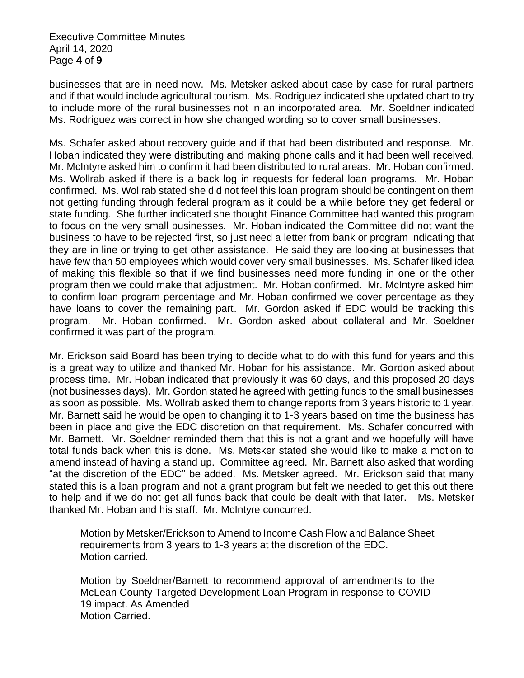Executive Committee Minutes April 14, 2020 Page **4** of **9**

businesses that are in need now. Ms. Metsker asked about case by case for rural partners and if that would include agricultural tourism. Ms. Rodriguez indicated she updated chart to try to include more of the rural businesses not in an incorporated area. Mr. Soeldner indicated Ms. Rodriguez was correct in how she changed wording so to cover small businesses.

Ms. Schafer asked about recovery guide and if that had been distributed and response. Mr. Hoban indicated they were distributing and making phone calls and it had been well received. Mr. McIntyre asked him to confirm it had been distributed to rural areas. Mr. Hoban confirmed. Ms. Wollrab asked if there is a back log in requests for federal loan programs. Mr. Hoban confirmed. Ms. Wollrab stated she did not feel this loan program should be contingent on them not getting funding through federal program as it could be a while before they get federal or state funding. She further indicated she thought Finance Committee had wanted this program to focus on the very small businesses. Mr. Hoban indicated the Committee did not want the business to have to be rejected first, so just need a letter from bank or program indicating that they are in line or trying to get other assistance. He said they are looking at businesses that have few than 50 employees which would cover very small businesses. Ms. Schafer liked idea of making this flexible so that if we find businesses need more funding in one or the other program then we could make that adjustment. Mr. Hoban confirmed. Mr. McIntyre asked him to confirm loan program percentage and Mr. Hoban confirmed we cover percentage as they have loans to cover the remaining part. Mr. Gordon asked if EDC would be tracking this program. Mr. Hoban confirmed. Mr. Gordon asked about collateral and Mr. Soeldner confirmed it was part of the program.

Mr. Erickson said Board has been trying to decide what to do with this fund for years and this is a great way to utilize and thanked Mr. Hoban for his assistance. Mr. Gordon asked about process time. Mr. Hoban indicated that previously it was 60 days, and this proposed 20 days (not businesses days). Mr. Gordon stated he agreed with getting funds to the small businesses as soon as possible. Ms. Wollrab asked them to change reports from 3 years historic to 1 year. Mr. Barnett said he would be open to changing it to 1-3 years based on time the business has been in place and give the EDC discretion on that requirement. Ms. Schafer concurred with Mr. Barnett. Mr. Soeldner reminded them that this is not a grant and we hopefully will have total funds back when this is done. Ms. Metsker stated she would like to make a motion to amend instead of having a stand up. Committee agreed. Mr. Barnett also asked that wording "at the discretion of the EDC" be added. Ms. Metsker agreed. Mr. Erickson said that many stated this is a loan program and not a grant program but felt we needed to get this out there to help and if we do not get all funds back that could be dealt with that later. Ms. Metsker thanked Mr. Hoban and his staff. Mr. McIntyre concurred.

Motion by Metsker/Erickson to Amend to Income Cash Flow and Balance Sheet requirements from 3 years to 1-3 years at the discretion of the EDC. Motion carried.

Motion by Soeldner/Barnett to recommend approval of amendments to the McLean County Targeted Development Loan Program in response to COVID-19 impact. As Amended Motion Carried.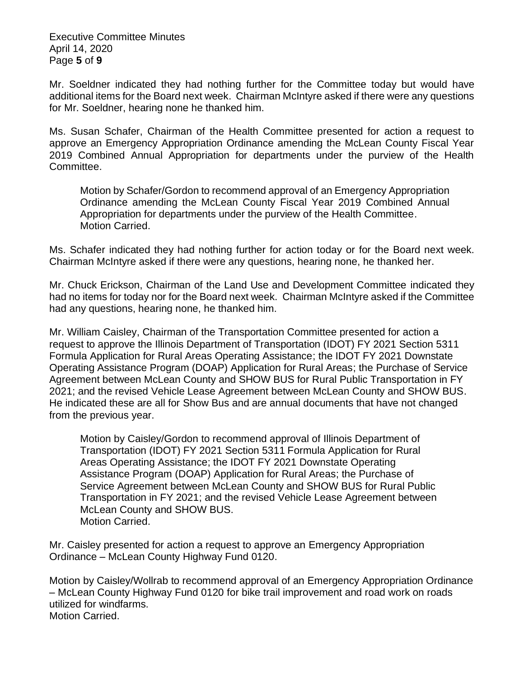Executive Committee Minutes April 14, 2020 Page **5** of **9**

Mr. Soeldner indicated they had nothing further for the Committee today but would have additional items for the Board next week. Chairman McIntyre asked if there were any questions for Mr. Soeldner, hearing none he thanked him.

Ms. Susan Schafer, Chairman of the Health Committee presented for action a request to approve an Emergency Appropriation Ordinance amending the McLean County Fiscal Year 2019 Combined Annual Appropriation for departments under the purview of the Health Committee.

Motion by Schafer/Gordon to recommend approval of an Emergency Appropriation Ordinance amending the McLean County Fiscal Year 2019 Combined Annual Appropriation for departments under the purview of the Health Committee. Motion Carried.

Ms. Schafer indicated they had nothing further for action today or for the Board next week. Chairman McIntyre asked if there were any questions, hearing none, he thanked her.

Mr. Chuck Erickson, Chairman of the Land Use and Development Committee indicated they had no items for today nor for the Board next week. Chairman McIntyre asked if the Committee had any questions, hearing none, he thanked him.

Mr. William Caisley, Chairman of the Transportation Committee presented for action a request to approve the Illinois Department of Transportation (IDOT) FY 2021 Section 5311 Formula Application for Rural Areas Operating Assistance; the IDOT FY 2021 Downstate Operating Assistance Program (DOAP) Application for Rural Areas; the Purchase of Service Agreement between McLean County and SHOW BUS for Rural Public Transportation in FY 2021; and the revised Vehicle Lease Agreement between McLean County and SHOW BUS. He indicated these are all for Show Bus and are annual documents that have not changed from the previous year.

Motion by Caisley/Gordon to recommend approval of Illinois Department of Transportation (IDOT) FY 2021 Section 5311 Formula Application for Rural Areas Operating Assistance; the IDOT FY 2021 Downstate Operating Assistance Program (DOAP) Application for Rural Areas; the Purchase of Service Agreement between McLean County and SHOW BUS for Rural Public Transportation in FY 2021; and the revised Vehicle Lease Agreement between McLean County and SHOW BUS. Motion Carried.

Mr. Caisley presented for action a request to approve an Emergency Appropriation Ordinance – McLean County Highway Fund 0120.

Motion by Caisley/Wollrab to recommend approval of an Emergency Appropriation Ordinance – McLean County Highway Fund 0120 for bike trail improvement and road work on roads utilized for windfarms. Motion Carried.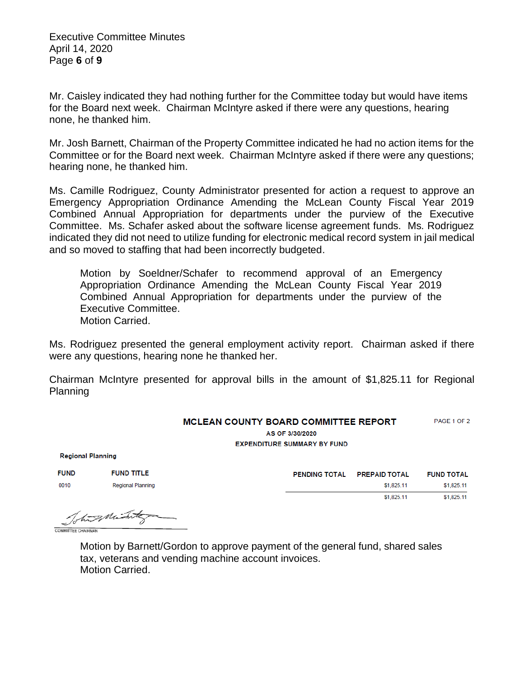Executive Committee Minutes April 14, 2020 Page **6** of **9**

Mr. Caisley indicated they had nothing further for the Committee today but would have items for the Board next week. Chairman McIntyre asked if there were any questions, hearing none, he thanked him.

Mr. Josh Barnett, Chairman of the Property Committee indicated he had no action items for the Committee or for the Board next week. Chairman McIntyre asked if there were any questions; hearing none, he thanked him.

Ms. Camille Rodriguez, County Administrator presented for action a request to approve an Emergency Appropriation Ordinance Amending the McLean County Fiscal Year 2019 Combined Annual Appropriation for departments under the purview of the Executive Committee. Ms. Schafer asked about the software license agreement funds. Ms. Rodriguez indicated they did not need to utilize funding for electronic medical record system in jail medical and so moved to staffing that had been incorrectly budgeted.

Motion by Soeldner/Schafer to recommend approval of an Emergency Appropriation Ordinance Amending the McLean County Fiscal Year 2019 Combined Annual Appropriation for departments under the purview of the Executive Committee. Motion Carried.

Ms. Rodriguez presented the general employment activity report. Chairman asked if there were any questions, hearing none he thanked her.

Chairman McIntyre presented for approval bills in the amount of \$1,825.11 for Regional Planning

## PAGE 1 OF 2 **MCLEAN COUNTY BOARD COMMITTEE REPORT**

AS OF 3/30/2020 **EXPENDITURE SUMMARY BY FUND** 

**Regional Planning** 

| <b>FUND</b> | <b>FUND TITLE</b> | <b>PENDING TOTAL</b> | <b>PREPAID TOTAL</b> | <b>FUND TOTAL</b> |
|-------------|-------------------|----------------------|----------------------|-------------------|
| 0010        | Regional Planning |                      | \$1,825.11           | \$1,825.11        |
|             |                   |                      | \$1,825.11           | \$1,825.11        |

Toto Mint COMMITTEE CHAIRMA

Motion by Barnett/Gordon to approve payment of the general fund, shared sales tax, veterans and vending machine account invoices. Motion Carried.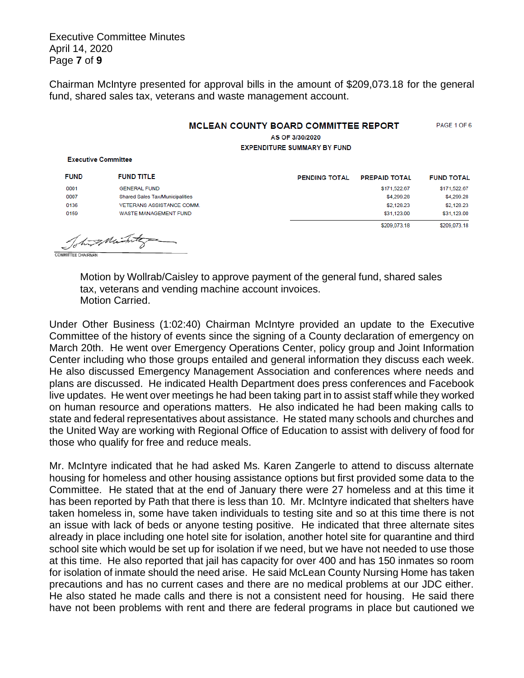Executive Committee Minutes April 14, 2020 Page **7** of **9**

Chairman McIntyre presented for approval bills in the amount of \$209,073.18 for the general fund, shared sales tax, veterans and waste management account.

## **MCLEAN COUNTY BOARD COMMITTEE REPORT** PAGE 1 OF 6

AS OF 3/30/2020 **EXPENDITURE SUMMARY BY FUND** 

| <b>FUND</b> | <b>FUND TITLE</b>                      | <b>PENDING TOTAL</b> | <b>PREPAID TOTAL</b> | <b>FUND TOTAL</b> |
|-------------|----------------------------------------|----------------------|----------------------|-------------------|
| 0001        | <b>GENERAL FUND</b>                    |                      | \$171,522.67         | \$171,522.67      |
| 0007        | <b>Shared Sales Tax/Municipalities</b> |                      | \$4,299.28           | \$4,299.28        |
| 0136        | <b>VETERANS ASSISTANCE COMM.</b>       |                      | \$2,128.23           | \$2,128.23        |
| 0159        | WASTE MANAGEMENT FUND                  |                      | \$31,123.00          | \$31,123.00       |
|             |                                        |                      | \$209,073.18         | \$209,073.18      |

Tohing Michi D COMMITTEE CHAIRMAN

**Executive Committee** 

Motion by Wollrab/Caisley to approve payment of the general fund, shared sales tax, veterans and vending machine account invoices. Motion Carried.

Under Other Business (1:02:40) Chairman McIntyre provided an update to the Executive Committee of the history of events since the signing of a County declaration of emergency on March 20th. He went over Emergency Operations Center, policy group and Joint Information Center including who those groups entailed and general information they discuss each week. He also discussed Emergency Management Association and conferences where needs and plans are discussed. He indicated Health Department does press conferences and Facebook live updates. He went over meetings he had been taking part in to assist staff while they worked on human resource and operations matters. He also indicated he had been making calls to state and federal representatives about assistance. He stated many schools and churches and the United Way are working with Regional Office of Education to assist with delivery of food for those who qualify for free and reduce meals.

Mr. McIntyre indicated that he had asked Ms. Karen Zangerle to attend to discuss alternate housing for homeless and other housing assistance options but first provided some data to the Committee. He stated that at the end of January there were 27 homeless and at this time it has been reported by Path that there is less than 10. Mr. McIntyre indicated that shelters have taken homeless in, some have taken individuals to testing site and so at this time there is not an issue with lack of beds or anyone testing positive. He indicated that three alternate sites already in place including one hotel site for isolation, another hotel site for quarantine and third school site which would be set up for isolation if we need, but we have not needed to use those at this time. He also reported that jail has capacity for over 400 and has 150 inmates so room for isolation of inmate should the need arise. He said McLean County Nursing Home has taken precautions and has no current cases and there are no medical problems at our JDC either. He also stated he made calls and there is not a consistent need for housing. He said there have not been problems with rent and there are federal programs in place but cautioned we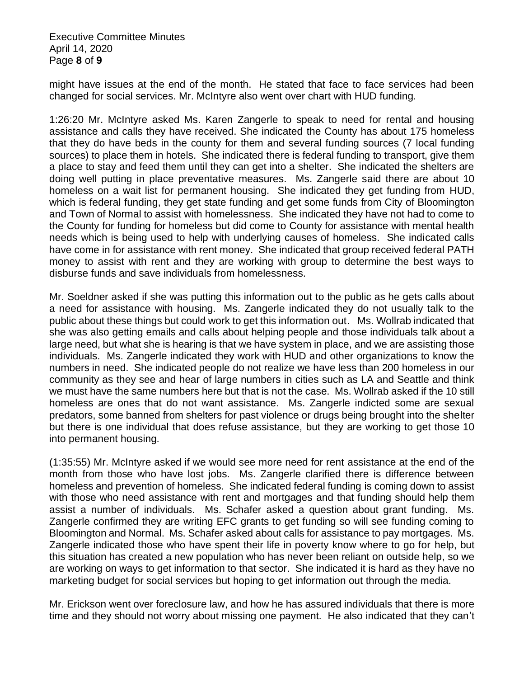Executive Committee Minutes April 14, 2020 Page **8** of **9**

might have issues at the end of the month. He stated that face to face services had been changed for social services. Mr. McIntyre also went over chart with HUD funding.

1:26:20 Mr. McIntyre asked Ms. Karen Zangerle to speak to need for rental and housing assistance and calls they have received. She indicated the County has about 175 homeless that they do have beds in the county for them and several funding sources (7 local funding sources) to place them in hotels. She indicated there is federal funding to transport, give them a place to stay and feed them until they can get into a shelter. She indicated the shelters are doing well putting in place preventative measures. Ms. Zangerle said there are about 10 homeless on a wait list for permanent housing. She indicated they get funding from HUD, which is federal funding, they get state funding and get some funds from City of Bloomington and Town of Normal to assist with homelessness. She indicated they have not had to come to the County for funding for homeless but did come to County for assistance with mental health needs which is being used to help with underlying causes of homeless. She indicated calls have come in for assistance with rent money. She indicated that group received federal PATH money to assist with rent and they are working with group to determine the best ways to disburse funds and save individuals from homelessness.

Mr. Soeldner asked if she was putting this information out to the public as he gets calls about a need for assistance with housing. Ms. Zangerle indicated they do not usually talk to the public about these things but could work to get this information out. Ms. Wollrab indicated that she was also getting emails and calls about helping people and those individuals talk about a large need, but what she is hearing is that we have system in place, and we are assisting those individuals. Ms. Zangerle indicated they work with HUD and other organizations to know the numbers in need. She indicated people do not realize we have less than 200 homeless in our community as they see and hear of large numbers in cities such as LA and Seattle and think we must have the same numbers here but that is not the case. Ms. Wollrab asked if the 10 still homeless are ones that do not want assistance. Ms. Zangerle indicted some are sexual predators, some banned from shelters for past violence or drugs being brought into the shelter but there is one individual that does refuse assistance, but they are working to get those 10 into permanent housing.

(1:35:55) Mr. McIntyre asked if we would see more need for rent assistance at the end of the month from those who have lost jobs. Ms. Zangerle clarified there is difference between homeless and prevention of homeless. She indicated federal funding is coming down to assist with those who need assistance with rent and mortgages and that funding should help them assist a number of individuals. Ms. Schafer asked a question about grant funding. Ms. Zangerle confirmed they are writing EFC grants to get funding so will see funding coming to Bloomington and Normal. Ms. Schafer asked about calls for assistance to pay mortgages. Ms. Zangerle indicated those who have spent their life in poverty know where to go for help, but this situation has created a new population who has never been reliant on outside help, so we are working on ways to get information to that sector. She indicated it is hard as they have no marketing budget for social services but hoping to get information out through the media.

Mr. Erickson went over foreclosure law, and how he has assured individuals that there is more time and they should not worry about missing one payment. He also indicated that they can't